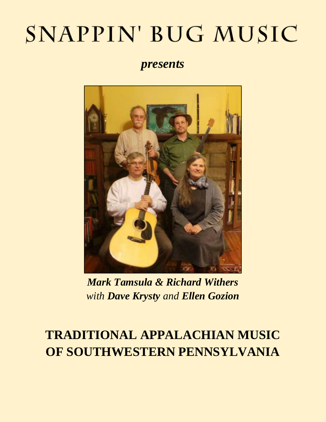# SNAPPIN' BUG MUSIC

*presents*



*Mark Tamsula & Richard Withers with Dave Krysty and Ellen Gozion*

### **TRADITIONAL APPALACHIAN MUSIC OF SOUTHWESTERN PENNSYLVANIA**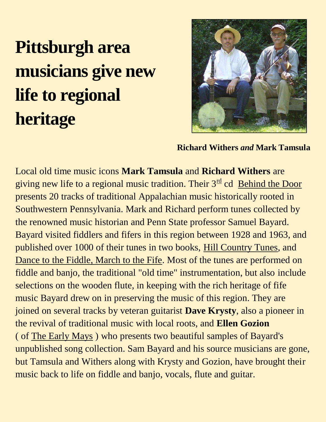## **Pittsburgh area musicians give new life to regional heritage**



**Richard Withers** *and* **Mark Tamsula** 

Local old time music icons **Mark Tamsula** and **Richard Withers** are giving new life to a regional music tradition. Their  $3<sup>rd</sup>$  cd Behind the Door presents 20 tracks of traditional Appalachian music historically rooted in Southwestern Pennsylvania. Mark and Richard perform tunes collected by the renowned music historian and Penn State professor Samuel Bayard. Bayard visited fiddlers and fifers in this region between 1928 and 1963, and published over 1000 of their tunes in two books, Hill Country Tunes, and Dance to the Fiddle, March to the Fife. Most of the tunes are performed on fiddle and banjo, the traditional "old time" instrumentation, but also include selections on the wooden flute, in keeping with the rich heritage of fife music Bayard drew on in preserving the music of this region. They are joined on several tracks by veteran guitarist **Dave Krysty**, also a pioneer in the revival of traditional music with local roots, and **Ellen Gozion** ( of The Early Mays ) who presents two beautiful samples of Bayard's unpublished song collection. Sam Bayard and his source musicians are gone, but Tamsula and Withers along with Krysty and Gozion, have brought their music back to life on fiddle and banjo, vocals, flute and guitar.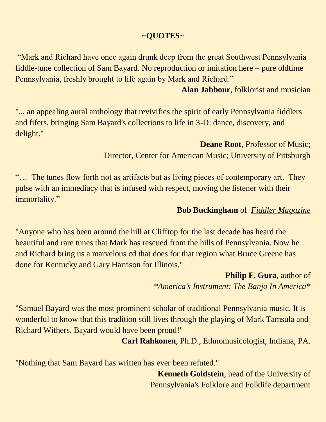#### **~QUOTES~**

"Mark and Richard have once again drunk deep from the great Southwest Pennsylvania fiddle-tune collection of Sam Bayard. No reproduction or imitation here – pure oldtime Pennsylvania, freshly brought to life again by Mark and Richard."

**Alan Jabbour**, folklorist and musician

"... an appealing aural anthology that revivifies the spirit of early Pennsylvania fiddlers and fifers, bringing Sam Bayard's collections to life in 3-D: dance, discovery, and delight."

> **Deane Root**, Professor of Music; Director, Center for American Music; University of Pittsburgh

"… The tunes flow forth not as artifacts but as living pieces of contemporary art. They pulse with an immediacy that is infused with respect, moving the listener with their immortality."

#### **Bob Buckingham** of *Fiddler Magazine*

"Anyone who has been around the hill at Clifftop for the last decade has heard the beautiful and rare tunes that Mark has rescued from the hills of Pennsylvania. Now he and Richard bring us a marvelous cd that does for that region what Bruce Greene has done for Kentucky and Gary Harrison for Illinois."

> **Philip F. Gura**, author of *\*America's Instrument: The Banjo In America\**

"Samuel Bayard was the most prominent scholar of traditional Pennsylvania music. It is wonderful to know that this tradition still lives through the playing of Mark Tamsula and Richard Withers. Bayard would have been proud!"

**Carl Rahkonen**, Ph.D., Ethnomusicologist, Indiana, PA.

"Nothing that Sam Bayard has written has ever been refuted."

**Kenneth Goldstein**, head of the University of Pennsylvania's Folklore and Folklife department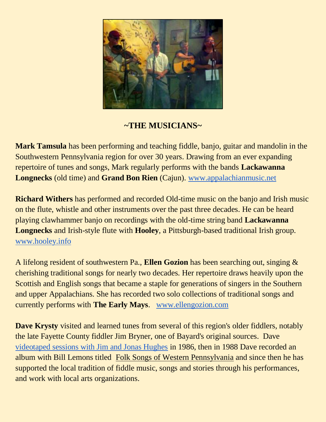![](_page_3_Picture_0.jpeg)

#### **~THE MUSICIANS~**

**Mark Tamsula** has been performing and teaching fiddle, banjo, guitar and mandolin in the Southwestern Pennsylvania region for over 30 years. Drawing from an ever expanding repertoire of tunes and songs, Mark regularly performs with the bands **Lackawanna Longnecks** (old time) and **Grand Bon Rien** (Cajun). [www.appalachianmusic.net](http://www.appalachianmusic.net/)

**Richard Withers** has performed and recorded Old-time music on the banjo and Irish music on the flute, whistle and other instruments over the past three decades. He can be heard playing clawhammer banjo on recordings with the old-time string band **Lackawanna Longnecks** and Irish-style flute with **Hooley**, a Pittsburgh-based traditional Irish group. [www.hooley.info](http://www.hooley.info/)

A lifelong resident of southwestern Pa., **Ellen Gozion** has been searching out, singing & cherishing traditional songs for nearly two decades. Her repertoire draws heavily upon the Scottish and English songs that became a staple for generations of singers in the Southern and upper Appalachians. She has recorded two solo collections of traditional songs and currently performs with **The Early Mays**. [www.ellengozion.com](http://www.ellengozion.com/)

**Dave Krysty** visited and learned tunes from several of this region's older fiddlers, notably the late Fayette County fiddler Jim Bryner, one of Bayard's original sources. Dave [videotaped sessions with Jim and Jonas Hughes](http://www.youtube.com/watch?v=PpgRGnjTa1g) in 1986, then in 1988 Dave recorded an album with Bill Lemons titled Folk Songs of Western Pennsylvania and since then he has supported the local tradition of fiddle music, songs and stories through his performances, and work with local arts organizations.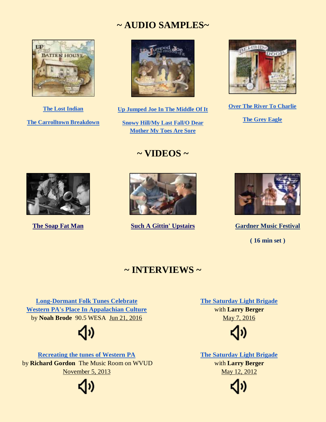#### **~ AUDIO SAMPLES~**

![](_page_4_Picture_1.jpeg)

**[The Lost Indian](http://www.appalachianmusic.net/sbug/clips/LostIndian.mp3) [The Carrolltown Breakdown](http://www.appalachianmusic.net/sbug/clips/CarrolltownBreakdown.mp3)**

![](_page_4_Picture_3.jpeg)

**[Up Jumped Joe In The Middle Of It](http://www.appalachianmusic.net/sbug/clips/UPJUMPEDJOEINTHEMIDDLEOFIT.mp3)**

**[Snowy Hill/My Last Fall/O Dear](http://www.appalachianmusic.net/sbug/clips/SNOWYHILLMYLASTFALLODEARMOTHER.mp3)  Mother [My Toes Are Sore](http://www.appalachianmusic.net/sbug/clips/SNOWYHILLMYLASTFALLODEARMOTHER.mp3)**

#### **~ VIDEOS ~**

![](_page_4_Picture_7.jpeg)

**[Over The River To Charlie](http://www.appalachianmusic.net/sbug/clips/OvertheRivertoCharlie.mp3)**

**[The Grey Eagle](http://www.appalachianmusic.net/sbug/clips/GreyEagle.mp3)**

![](_page_4_Picture_10.jpeg)

![](_page_4_Picture_12.jpeg)

**[The Soap Fat Man](https://youtu.be/KmXYwn7mXUk) [Such A Gittin' Upstairs](http://www.youtube.com/watch?v=iLzNb-NVIEo) [Gardner Music Festival](https://youtu.be/nN56z-dGULw)** 

![](_page_4_Picture_14.jpeg)

**( 16 min set )**

#### **~ INTERVIEWS ~**

**[Long-Dormant Folk Tunes Celebrate](http://wesa.fm/post/long-dormant-folk-tunes-celebrate-western-pas-place-appalachian-culture)  [Western PA's Place In Appalachian Culture](http://wesa.fm/post/long-dormant-folk-tunes-celebrate-western-pas-place-appalachian-culture)** by **Noah Brode** 90.5 WESA Jun 21, 2016

![](_page_4_Picture_19.jpeg)

**[Recreating the tunes of Western PA](http://sites.udel.edu/tmr/2013/11/05/tamsula-wither/)** by **Richard Gordon** The Music Room on WVUD November 5, 2013

![](_page_4_Picture_21.jpeg)

**[The Saturday Light Brigade](http://neighborhoodvoices.org/live-music-mark-tamsula-richard-withers)** with **Larry Berger** May 7, 2016

![](_page_4_Picture_23.jpeg)

**[The Saturday Light Brigade](http://neighborhoodvoices.org/live-music-mark-tamsula-and-richard-withers)** with **Larry Berger** May 12, 2012

![](_page_4_Picture_25.jpeg)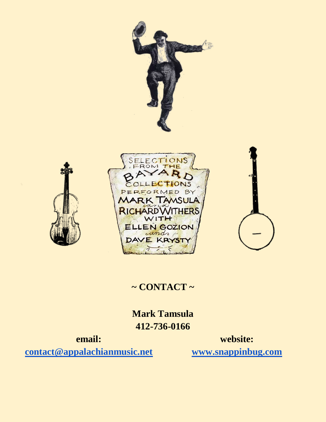![](_page_5_Picture_0.jpeg)

![](_page_5_Picture_1.jpeg)

![](_page_5_Picture_2.jpeg)

#### **~ CONTACT ~**

**Mark Tamsula 412-736-0166**

**email: [contact@appalachianmusic.net](mailto:contact@appalachianmusic.net)**

**website: [www.snappinbug.com](http://www.snappinbug.com/)**